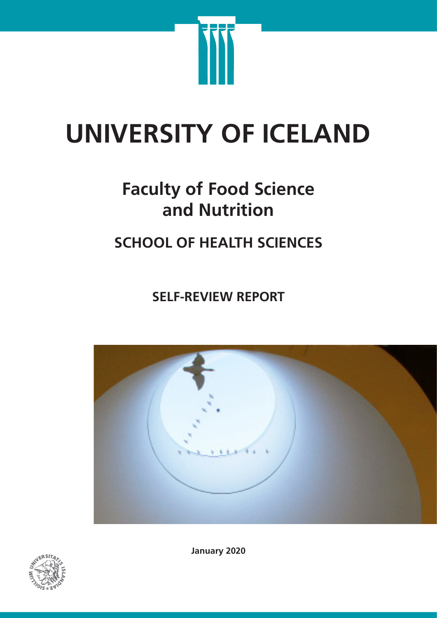

# **UNIVERSITY OF ICELAND**

# **Faculty of Food Science and Nutrition**

# **SCHOOL OF HEALTH SCIENCES**

**SELF-REVIEW REPORT**





**January 2020**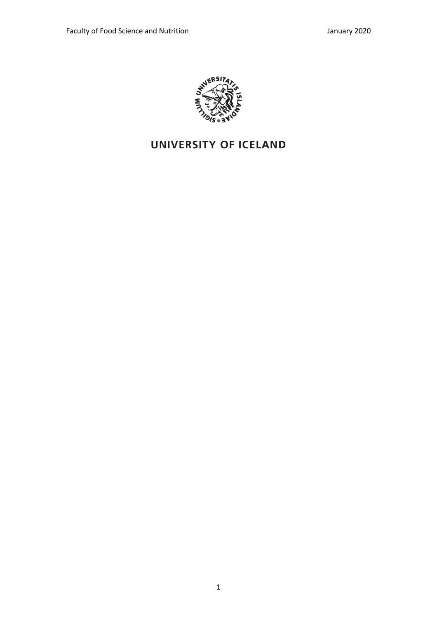

# UNIVERSITY OF ICELAND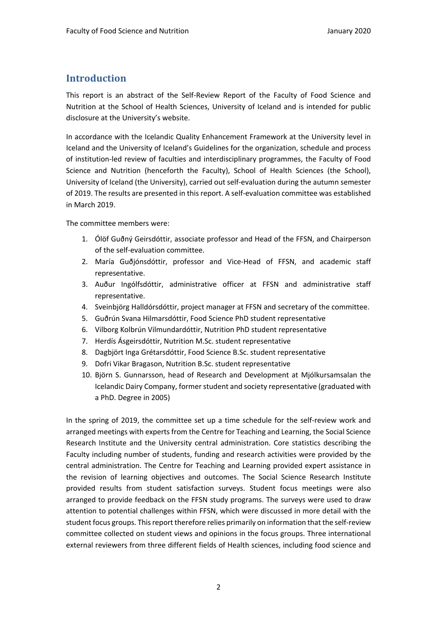# **Introduction**

This report is an abstract of the Self-Review Report of the Faculty of Food Science and Nutrition at the School of Health Sciences, University of Iceland and is intended for public disclosure at the University's website.

In accordance with the Icelandic Quality Enhancement Framework at the University level in Iceland and the University of Iceland's Guidelines for the organization, schedule and process of institution-led review of faculties and interdisciplinary programmes, the Faculty of Food Science and Nutrition (henceforth the Faculty), School of Health Sciences (the School), University of Iceland (the University), carried out self-evaluation during the autumn semester of 2019. The results are presented in this report. A self-evaluation committee was established in March 2019.

The committee members were:

- 1. Ólöf Guðný Geirsdóttir, associate professor and Head of the FFSN, and Chairperson of the self-evaluation committee.
- 2. María Guðjónsdóttir, professor and Vice-Head of FFSN, and academic staff representative.
- 3. Auður Ingólfsdóttir, administrative officer at FFSN and administrative staff representative.
- 4. Sveinbjörg Halldórsdóttir, project manager at FFSN and secretary of the committee.
- 5. Guðrún Svana Hilmarsdóttir, Food Science PhD student representative
- 6. Vilborg Kolbrún Vilmundardóttir, Nutrition PhD student representative
- 7. Herdís Ásgeirsdóttir, Nutrition M.Sc. student representative
- 8. Dagbjört Inga Grétarsdóttir, Food Science B.Sc. student representative
- 9. Dofri Vikar Bragason, Nutrition B.Sc. student representative
- 10. Björn S. Gunnarsson, head of Research and Development at Mjólkursamsalan the Icelandic Dairy Company, former student and society representative (graduated with a PhD. Degree in 2005)

In the spring of 2019, the committee set up a time schedule for the self-review work and arranged meetings with experts from the Centre for Teaching and Learning, the Social Science Research Institute and the University central administration. Core statistics describing the Faculty including number of students, funding and research activities were provided by the central administration. The Centre for Teaching and Learning provided expert assistance in the revision of learning objectives and outcomes. The Social Science Research Institute provided results from student satisfaction surveys. Student focus meetings were also arranged to provide feedback on the FFSN study programs. The surveys were used to draw attention to potential challenges within FFSN, which were discussed in more detail with the student focus groups. This report therefore relies primarily on information that the self-review committee collected on student views and opinions in the focus groups. Three international external reviewers from three different fields of Health sciences, including food science and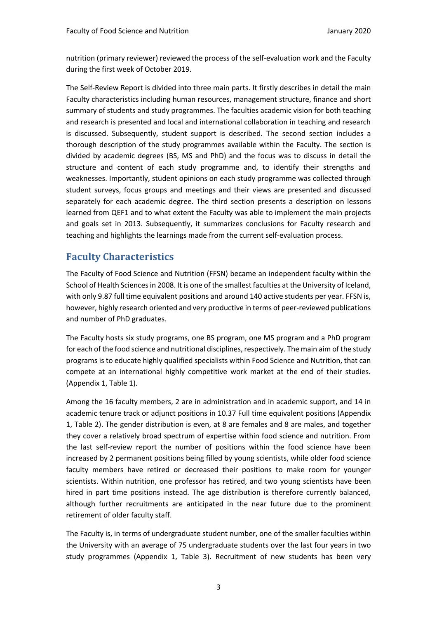nutrition (primary reviewer) reviewed the process of the self-evaluation work and the Faculty during the first week of October 2019.

The Self-Review Report is divided into three main parts. It firstly describes in detail the main Faculty characteristics including human resources, management structure, finance and short summary of students and study programmes. The faculties academic vision for both teaching and research is presented and local and international collaboration in teaching and research is discussed. Subsequently, student support is described. The second section includes a thorough description of the study programmes available within the Faculty. The section is divided by academic degrees (BS, MS and PhD) and the focus was to discuss in detail the structure and content of each study programme and, to identify their strengths and weaknesses. Importantly, student opinions on each study programme was collected through student surveys, focus groups and meetings and their views are presented and discussed separately for each academic degree. The third section presents a description on lessons learned from QEF1 and to what extent the Faculty was able to implement the main projects and goals set in 2013. Subsequently, it summarizes conclusions for Faculty research and teaching and highlights the learnings made from the current self-evaluation process.

# **Faculty Characteristics**

The Faculty of Food Science and Nutrition (FFSN) became an independent faculty within the School of Health Sciences in 2008. It is one of the smallest faculties at the University of Iceland, with only 9.87 full time equivalent positions and around 140 active students per year. FFSN is, however, highly research oriented and very productive in terms of peer-reviewed publications and number of PhD graduates.

The Faculty hosts six study programs, one BS program, one MS program and a PhD program for each of the food science and nutritional disciplines, respectively. The main aim of the study programs is to educate highly qualified specialists within Food Science and Nutrition, that can compete at an international highly competitive work market at the end of their studies. (Appendix 1, Table 1).

Among the 16 faculty members, 2 are in administration and in academic support, and 14 in academic tenure track or adjunct positions in 10.37 Full time equivalent positions (Appendix 1, Table 2). The gender distribution is even, at 8 are females and 8 are males, and together they cover a relatively broad spectrum of expertise within food science and nutrition. From the last self-review report the number of positions within the food science have been increased by 2 permanent positions being filled by young scientists, while older food science faculty members have retired or decreased their positions to make room for younger scientists. Within nutrition, one professor has retired, and two young scientists have been hired in part time positions instead. The age distribution is therefore currently balanced, although further recruitments are anticipated in the near future due to the prominent retirement of older faculty staff.

The Faculty is, in terms of undergraduate student number, one of the smaller faculties within the University with an average of 75 undergraduate students over the last four years in two study programmes (Appendix 1, Table 3). Recruitment of new students has been very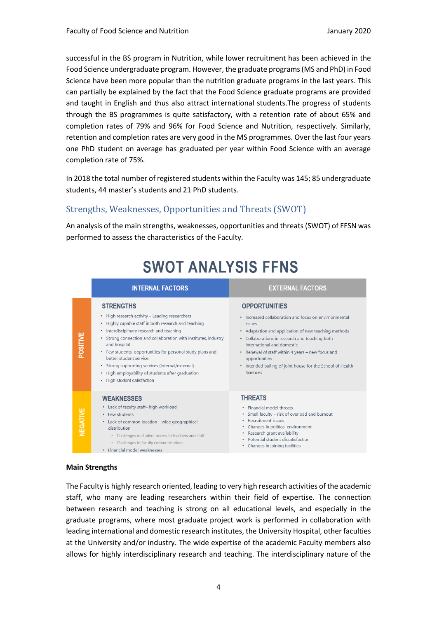successful in the BS program in Nutrition, while lower recruitment has been achieved in the Food Science undergraduate program. However, the graduate programs (MS and PhD) in Food Science have been more popular than the nutrition graduate programs in the last years. This can partially be explained by the fact that the Food Science graduate programs are provided and taught in English and thus also attract international students.The progress of students through the BS programmes is quite satisfactory, with a retention rate of about 65% and completion rates of 79% and 96% for Food Science and Nutrition, respectively. Similarly, retention and completion rates are very good in the MS programmes. Over the last four years one PhD student on average has graduated per year within Food Science with an average completion rate of 75%.

In 2018 the total number of registered students within the Faculty was 145; 85 undergraduate students, 44 master's students and 21 PhD students.

# Strengths, Weaknesses, Opportunities and Threats (SWOT)

An analysis of the main strengths, weaknesses, opportunities and threats (SWOT) of FFSN was performed to assess the characteristics of the Faculty.

|                 | <b>INTERNAL FACTORS</b>                                                                                                                                                                                                                                                                                                                                                                                                                                                                | <b>EXTERNAL FACTORS</b>                                                                                                                                                                                                                                                                                                                                                                       |
|-----------------|----------------------------------------------------------------------------------------------------------------------------------------------------------------------------------------------------------------------------------------------------------------------------------------------------------------------------------------------------------------------------------------------------------------------------------------------------------------------------------------|-----------------------------------------------------------------------------------------------------------------------------------------------------------------------------------------------------------------------------------------------------------------------------------------------------------------------------------------------------------------------------------------------|
| <b>POSITIVE</b> | <b>STRENGTHS</b><br>• High research activity - Leading researchers<br>• Highly capable staff in both research and teaching<br>• Interdisciplinary research and teaching<br>• Strong connection and collaboration with institutes, industry<br>and hospital<br>• Few students, opportunities for personal study plans and<br>better student service<br>• Strong supporting services (internal/external)<br>High employability of students after graduation<br>High student satisfaction | <b>OPPORTUNITIES</b><br>• Increased collaboration and focus on envirnonmental<br><i><b>issues</b></i><br>• Adaptation and application of new teaching methods<br>• Collaborations in research and teaching both<br>international and domestic<br>• Renewal of staff within 4 years - new focus and<br>opportunities<br>• Intended builing of joint house for the School of Health<br>Sciences |
| <b>NEGATIVE</b> | <b>WEAKNESSES</b><br>• Lack of faculty staff-high workload<br>· Few students<br>• Lack of common location - wide geographical<br>distribution<br>• Challenges in student access to teachers and staff<br>• Challenges in faculty communications<br>Financial model weaknesses                                                                                                                                                                                                          | <b>THREATS</b><br>· Financial model threats<br>Small faculty - risk of overload and burnout<br>۰<br>Recruitment issues<br>٠<br>Changes in political environment<br>۰<br>Research grant availability<br>Potential student dissatisfaction<br>٠<br>Changes in joining facilities<br>٠                                                                                                           |

# **SWOT ANALYSIS FFNS**

#### **Main Strengths**

The Faculty is highly research oriented, leading to very high research activities of the academic staff, who many are leading researchers within their field of expertise. The connection between research and teaching is strong on all educational levels, and especially in the graduate programs, where most graduate project work is performed in collaboration with leading international and domestic research institutes, the University Hospital, other faculties at the University and/or industry. The wide expertise of the academic Faculty members also allows for highly interdisciplinary research and teaching. The interdisciplinary nature of the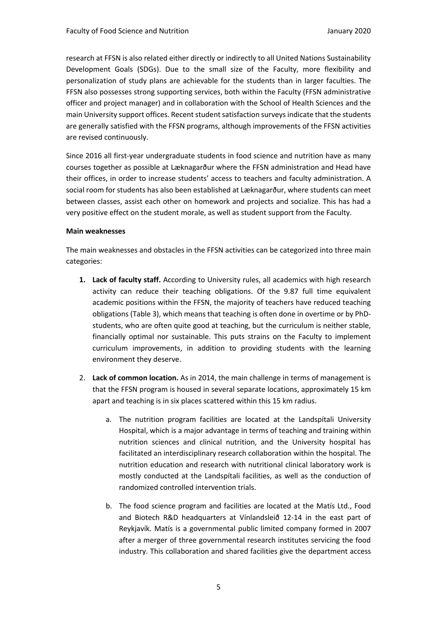research at FFSN is also related either directly or indirectly to all United Nations Sustainability Development Goals (SDGs). Due to the small size of the Faculty, more flexibility and personalization of study plans are achievable for the students than in larger faculties. The FFSN also possesses strong supporting services, both within the Faculty (FFSN administrative officer and project manager) and in collaboration with the School of Health Sciences and the main University support offices. Recent student satisfaction surveys indicate that the students are generally satisfied with the FFSN programs, although improvements of the FFSN activities are revised continuously.

Since 2016 all first-year undergraduate students in food science and nutrition have as many courses together as possible at Læknagarður where the FFSN administration and Head have their offices, in order to increase students' access to teachers and faculty administration. A social room for students has also been established at Læknagarður, where students can meet between classes, assist each other on homework and projects and socialize. This has had a very positive effect on the student morale, as well as student support from the Faculty.

#### **Main weaknesses**

The main weaknesses and obstacles in the FFSN activities can be categorized into three main categories:

- **1. Lack of faculty staff.** According to University rules, all academics with high research activity can reduce their teaching obligations. Of the 9.87 full time equivalent academic positions within the FFSN, the majority of teachers have reduced teaching obligations (Table 3), which means that teaching is often done in overtime or by PhDstudents, who are often quite good at teaching, but the curriculum is neither stable, financially optimal nor sustainable. This puts strains on the Faculty to implement curriculum improvements, in addition to providing students with the learning environment they deserve.
- 2. **Lack of common location.** As in 2014, the main challenge in terms of management is that the FFSN program is housed in several separate locations, approximately 15 km apart and teaching is in six places scattered within this 15 km radius.
	- a. The nutrition program facilities are located at the Landspítali University Hospital, which is a major advantage in terms of teaching and training within nutrition sciences and clinical nutrition, and the University hospital has facilitated an interdisciplinary research collaboration within the hospital. The nutrition education and research with nutritional clinical laboratory work is mostly conducted at the Landspítali facilities, as well as the conduction of randomized controlled intervention trials.
	- b. The food science program and facilities are located at the Matís Ltd., Food and Biotech R&D headquarters at Vínlandsleið 12-14 in the east part of Reykjavík. Matís is a governmental public limited company formed in 2007 after a merger of three governmental research institutes servicing the food industry. This collaboration and shared facilities give the department access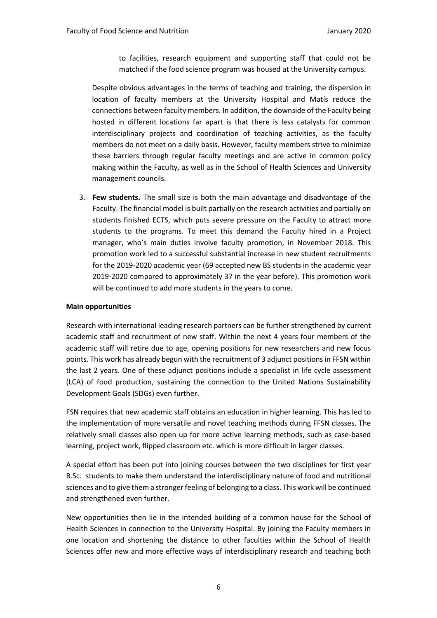to facilities, research equipment and supporting staff that could not be matched if the food science program was housed at the University campus.

Despite obvious advantages in the terms of teaching and training, the dispersion in location of faculty members at the University Hospital and Matís reduce the connections between faculty members. In addition, the downside of the Faculty being hosted in different locations far apart is that there is less catalysts for common interdisciplinary projects and coordination of teaching activities, as the faculty members do not meet on a daily basis. However, faculty members strive to minimize these barriers through regular faculty meetings and are active in common policy making within the Faculty, as well as in the School of Health Sciences and University management councils.

3. **Few students.** The small size is both the main advantage and disadvantage of the Faculty. The financial model is built partially on the research activities and partially on students finished ECTS, which puts severe pressure on the Faculty to attract more students to the programs. To meet this demand the Faculty hired in a Project manager, who's main duties involve faculty promotion, in November 2018. This promotion work led to a successful substantial increase in new student recruitments for the 2019-2020 academic year (69 accepted new BS students in the academic year 2019-2020 compared to approximately 37 in the year before). This promotion work will be continued to add more students in the years to come.

#### **Main opportunities**

Research with international leading research partners can be further strengthened by current academic staff and recruitment of new staff. Within the next 4 years four members of the academic staff will retire due to age, opening positions for new researchers and new focus points. This work has already begun with the recruitment of 3 adjunct positions in FFSN within the last 2 years. One of these adjunct positions include a specialist in life cycle assessment (LCA) of food production, sustaining the connection to the United Nations Sustainability Development Goals (SDGs) even further.

FSN requires that new academic staff obtains an education in higher learning. This has led to the implementation of more versatile and novel teaching methods during FFSN classes. The relatively small classes also open up for more active learning methods, such as case-based learning, project work, flipped classroom etc. which is more difficult in larger classes.

A special effort has been put into joining courses between the two disciplines for first year B.Sc. students to make them understand the interdisciplinary nature of food and nutritional sciences and to give them a stronger feeling of belonging to a class. This work will be continued and strengthened even further.

New opportunities then lie in the intended building of a common house for the School of Health Sciences in connection to the University Hospital. By joining the Faculty members in one location and shortening the distance to other faculties within the School of Health Sciences offer new and more effective ways of interdisciplinary research and teaching both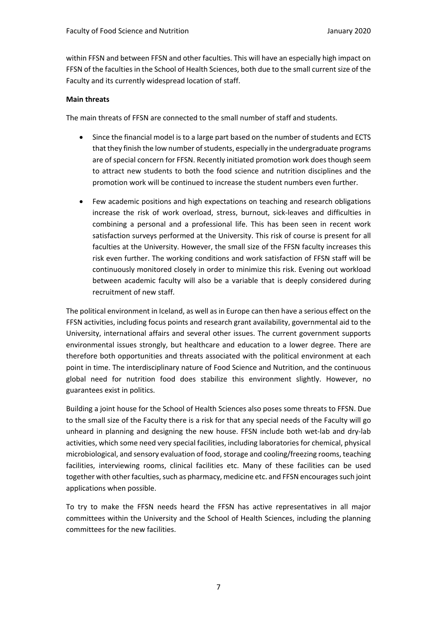within FFSN and between FFSN and other faculties. This will have an especially high impact on FFSN of the faculties in the School of Health Sciences, both due to the small current size of the Faculty and its currently widespread location of staff.

#### **Main threats**

The main threats of FFSN are connected to the small number of staff and students.

- Since the financial model is to a large part based on the number of students and ECTS that they finish the low number of students, especially in the undergraduate programs are of special concern for FFSN. Recently initiated promotion work does though seem to attract new students to both the food science and nutrition disciplines and the promotion work will be continued to increase the student numbers even further.
- Few academic positions and high expectations on teaching and research obligations increase the risk of work overload, stress, burnout, sick-leaves and difficulties in combining a personal and a professional life. This has been seen in recent work satisfaction surveys performed at the University. This risk of course is present for all faculties at the University. However, the small size of the FFSN faculty increases this risk even further. The working conditions and work satisfaction of FFSN staff will be continuously monitored closely in order to minimize this risk. Evening out workload between academic faculty will also be a variable that is deeply considered during recruitment of new staff.

The political environment in Iceland, as well as in Europe can then have a serious effect on the FFSN activities, including focus points and research grant availability, governmental aid to the University, international affairs and several other issues. The current government supports environmental issues strongly, but healthcare and education to a lower degree. There are therefore both opportunities and threats associated with the political environment at each point in time. The interdisciplinary nature of Food Science and Nutrition, and the continuous global need for nutrition food does stabilize this environment slightly. However, no guarantees exist in politics.

Building a joint house for the School of Health Sciences also poses some threats to FFSN. Due to the small size of the Faculty there is a risk for that any special needs of the Faculty will go unheard in planning and designing the new house. FFSN include both wet-lab and dry-lab activities, which some need very special facilities, including laboratories for chemical, physical microbiological, and sensory evaluation of food, storage and cooling/freezing rooms, teaching facilities, interviewing rooms, clinical facilities etc. Many of these facilities can be used together with other faculties, such as pharmacy, medicine etc. and FFSN encourages such joint applications when possible.

To try to make the FFSN needs heard the FFSN has active representatives in all major committees within the University and the School of Health Sciences, including the planning committees for the new facilities.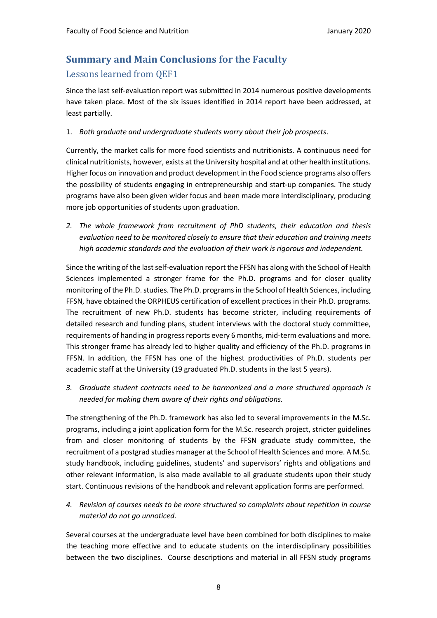# **Summary and Main Conclusions for the Faculty** Lessons learned from OEF1

Since the last self-evaluation report was submitted in 2014 numerous positive developments have taken place. Most of the six issues identified in 2014 report have been addressed, at least partially.

### 1. *Both graduate and undergraduate students worry about their job prospects*.

Currently, the market calls for more food scientists and nutritionists. A continuous need for clinical nutritionists, however, exists at the University hospital and at other health institutions. Higher focus on innovation and product development in the Food science programs also offers the possibility of students engaging in entrepreneurship and start-up companies. The study programs have also been given wider focus and been made more interdisciplinary, producing more job opportunities of students upon graduation.

*2. The whole framework from recruitment of PhD students, their education and thesis evaluation need to be monitored closely to ensure that their education and training meets high academic standards and the evaluation of their work is rigorous and independent.* 

Since the writing of the last self-evaluation report the FFSN has along with the School of Health Sciences implemented a stronger frame for the Ph.D. programs and for closer quality monitoring of the Ph.D. studies. The Ph.D. programs in the School of Health Sciences, including FFSN, have obtained the ORPHEUS certification of excellent practices in their Ph.D. programs. The recruitment of new Ph.D. students has become stricter, including requirements of detailed research and funding plans, student interviews with the doctoral study committee, requirements of handing in progress reports every 6 months, mid-term evaluations and more. This stronger frame has already led to higher quality and efficiency of the Ph.D. programs in FFSN. In addition, the FFSN has one of the highest productivities of Ph.D. students per academic staff at the University (19 graduated Ph.D. students in the last 5 years).

*3. Graduate student contracts need to be harmonized and a more structured approach is needed for making them aware of their rights and obligations.* 

The strengthening of the Ph.D. framework has also led to several improvements in the M.Sc. programs, including a joint application form for the M.Sc. research project, stricter guidelines from and closer monitoring of students by the FFSN graduate study committee, the recruitment of a postgrad studies manager at the School of Health Sciences and more. A M.Sc. study handbook, including guidelines, students' and supervisors' rights and obligations and other relevant information, is also made available to all graduate students upon their study start. Continuous revisions of the handbook and relevant application forms are performed.

*4. Revision of courses needs to be more structured so complaints about repetition in course material do not go unnoticed.* 

Several courses at the undergraduate level have been combined for both disciplines to make the teaching more effective and to educate students on the interdisciplinary possibilities between the two disciplines. Course descriptions and material in all FFSN study programs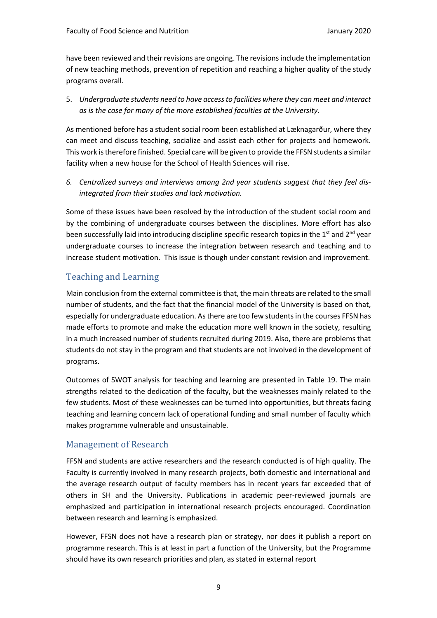have been reviewed and their revisions are ongoing. The revisions include the implementation of new teaching methods, prevention of repetition and reaching a higher quality of the study programs overall.

5. *Undergraduate students need to have access to facilities where they can meet and interact as is the case for many of the more established faculties at the University.*

As mentioned before has a student social room been established at Læknagarður, where they can meet and discuss teaching, socialize and assist each other for projects and homework. This work is therefore finished. Special care will be given to provide the FFSN students a similar facility when a new house for the School of Health Sciences will rise.

*6. Centralized surveys and interviews among 2nd year students suggest that they feel disintegrated from their studies and lack motivation.* 

Some of these issues have been resolved by the introduction of the student social room and by the combining of undergraduate courses between the disciplines. More effort has also been successfully laid into introducing discipline specific research topics in the 1<sup>st</sup> and 2<sup>nd</sup> year undergraduate courses to increase the integration between research and teaching and to increase student motivation. This issue is though under constant revision and improvement.

# Teaching and Learning

Main conclusion from the external committee is that, the main threats are related to the small number of students, and the fact that the financial model of the University is based on that, especially for undergraduate education. As there are too few students in the courses FFSN has made efforts to promote and make the education more well known in the society, resulting in a much increased number of students recruited during 2019. Also, there are problems that students do not stay in the program and that students are not involved in the development of programs.

Outcomes of SWOT analysis for teaching and learning are presented in Table 19. The main strengths related to the dedication of the faculty, but the weaknesses mainly related to the few students. Most of these weaknesses can be turned into opportunities, but threats facing teaching and learning concern lack of operational funding and small number of faculty which makes programme vulnerable and unsustainable.

# Management of Research

FFSN and students are active researchers and the research conducted is of high quality. The Faculty is currently involved in many research projects, both domestic and international and the average research output of faculty members has in recent years far exceeded that of others in SH and the University. Publications in academic peer-reviewed journals are emphasized and participation in international research projects encouraged. Coordination between research and learning is emphasized.

However, FFSN does not have a research plan or strategy, nor does it publish a report on programme research. This is at least in part a function of the University, but the Programme should have its own research priorities and plan, as stated in external report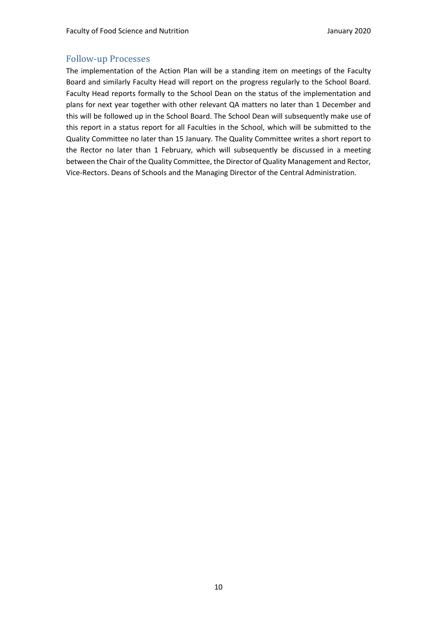### Follow-up Processes

The implementation of the Action Plan will be a standing item on meetings of the Faculty Board and similarly Faculty Head will report on the progress regularly to the School Board. Faculty Head reports formally to the School Dean on the status of the implementation and plans for next year together with other relevant QA matters no later than 1 December and this will be followed up in the School Board. The School Dean will subsequently make use of this report in a status report for all Faculties in the School, which will be submitted to the Quality Committee no later than 15 January. The Quality Committee writes a short report to the Rector no later than 1 February, which will subsequently be discussed in a meeting between the Chair of the Quality Committee, the Director of Quality Management and Rector, Vice-Rectors. Deans of Schools and the Managing Director of the Central Administration.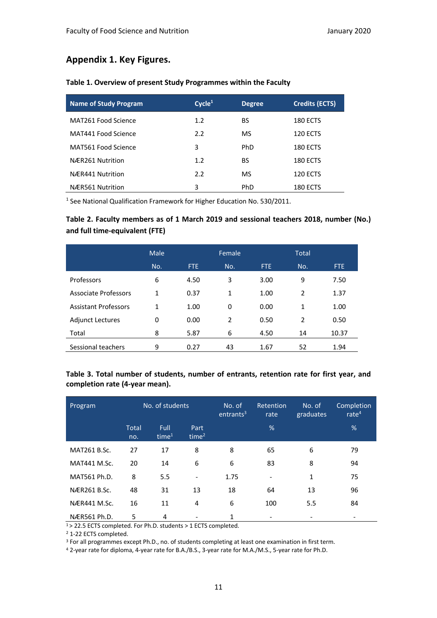# **Appendix 1. Key Figures.**

| <b>Name of Study Program</b> | Cycle <sup>1</sup> | <b>Degree</b> | <b>Credits (ECTS)</b> |
|------------------------------|--------------------|---------------|-----------------------|
| MAT261 Food Science          | 1.2                | BS            | <b>180 ECTS</b>       |
| MAT441 Food Science          | 2.2                | MS            | 120 ECTS              |
| MAT561 Food Science          | 3                  | PhD           | <b>180 ECTS</b>       |
| NÆR261 Nutrition             | 1.2                | BS            | <b>180 ECTS</b>       |
| NÆR441 Nutrition             | 2.2                | MS            | <b>120 ECTS</b>       |
| NÆR561 Nutrition             | 3                  | PhD           | 180 ECTS              |

#### **Table 1. Overview of present Study Programmes within the Faculty**

<sup>1</sup> See National Qualification Framework for Higher Education No. 530/2011.

## **Table 2. Faculty members as of 1 March 2019 and sessional teachers 2018, number (No.) and full time-equivalent (FTE)**

|                             | Male         |      | Female |      | <b>Total</b> |            |
|-----------------------------|--------------|------|--------|------|--------------|------------|
|                             | No.          | FTE. | No.    | FTE. | No.          | <b>FTE</b> |
| Professors                  | 6            | 4.50 | 3      | 3.00 | 9            | 7.50       |
| Associate Professors        | 1            | 0.37 | 1      | 1.00 | 2            | 1.37       |
| <b>Assistant Professors</b> | $\mathbf{1}$ | 1.00 | 0      | 0.00 | 1            | 1.00       |
| <b>Adjunct Lectures</b>     | 0            | 0.00 | 2      | 0.50 | 2            | 0.50       |
| Total                       | 8            | 5.87 | 6      | 4.50 | 14           | 10.37      |
| Sessional teachers          | 9            | 0.27 | 43     | 1.67 | 52           | 1.94       |

### **Table 3. Total number of students, number of entrants, retention rate for first year, and completion rate (4-year mean).**

| Program             | No. of students     |                           | No. of<br>entrants <sup>3</sup> | <b>Retention</b><br>rate | No. of<br>graduates | Completion<br>rate $4$ |    |
|---------------------|---------------------|---------------------------|---------------------------------|--------------------------|---------------------|------------------------|----|
|                     | <b>Total</b><br>no. | Full<br>time <sup>1</sup> | Part<br>time $2$                |                          | %                   |                        | %  |
| MAT261 B.Sc.        | 27                  | 17                        | 8                               | 8                        | 65                  | 6                      | 79 |
| <b>MAT441 M.Sc.</b> | 20                  | 14                        | 6                               | 6                        | 83                  | 8                      | 94 |
| MAT561 Ph.D.        | 8                   | 5.5                       | $\overline{\phantom{a}}$        | 1.75                     |                     | $\mathbf{1}$           | 75 |
| NÆR261 B.Sc.        | 48                  | 31                        | 13                              | 18                       | 64                  | 13                     | 96 |
| NÆR441 M.Sc.        | 16                  | 11                        | 4                               | 6                        | 100                 | 5.5                    | 84 |
| NÆR561 Ph.D.        | 5                   | 4                         |                                 | 1                        |                     |                        |    |

 $1 > 22.5$  ECTS completed. For Ph.D. students > 1 ECTS completed.

<sup>2</sup> 1-22 ECTS completed.

<sup>3</sup> For all programmes except Ph.D., no. of students completing at least one examination in first term.

<sup>4</sup> 2-year rate for diploma, 4-year rate for B.A./B.S., 3-year rate for M.A./M.S., 5-year rate for Ph.D.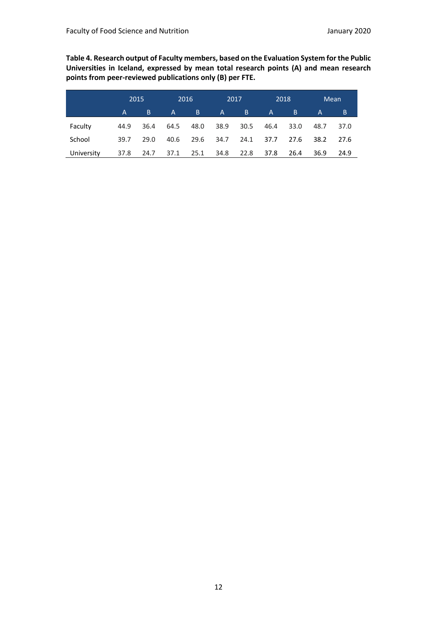**Table 4. Research output of Faculty members, based on the Evaluation System for the Public Universities in Iceland, expressed by mean total research points (A) and mean research points from peer-reviewed publications only (B) per FTE.**

|            | 2015 |      | 2016 |      | 2017         |      |              | 2018 | Mean |      |
|------------|------|------|------|------|--------------|------|--------------|------|------|------|
|            | A    | B    | A    | Β.   | $\mathsf{A}$ | B    | $\mathsf{A}$ | ΙB.  | A    | B    |
| Faculty    | 44.9 | 36.4 | 64.5 | 48.0 | 38.9         | 30.5 | 46.4         | 33.0 | 48.7 | 37.0 |
| School     | 39.7 | 29.0 | 40.6 | 29.6 | 34.7         | 24.1 | 37.7         | 27.6 | 38.2 | 27.6 |
| University | 37.8 | 24.7 | 37.1 | 25.1 | 34.8         | 22.8 | 37.8         | 26.4 | 36.9 | 24.9 |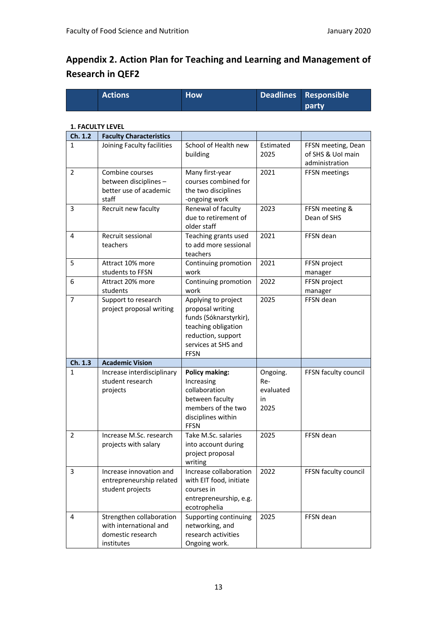# **Appendix 2. Action Plan for Teaching and Learning and Management of Research in QEF2**

| <b>Actions</b> | <b>How</b> | Deadlines Responsible |
|----------------|------------|-----------------------|
|                |            | l party.              |

#### **1. FACULTY LEVEL**

| Ch. 1.2        | <b>Faculty Characteristics</b>                                              |                                                                                                                                                      |                                            |                                                           |
|----------------|-----------------------------------------------------------------------------|------------------------------------------------------------------------------------------------------------------------------------------------------|--------------------------------------------|-----------------------------------------------------------|
| 1              | Joining Faculty facilities                                                  | School of Health new<br>building                                                                                                                     | Estimated<br>2025                          | FFSN meeting, Dean<br>of SHS & UoI main<br>administration |
| $\overline{2}$ | Combine courses<br>between disciplines -<br>better use of academic<br>staff | Many first-year<br>courses combined for<br>the two disciplines<br>-ongoing work                                                                      | 2021                                       | FFSN meetings                                             |
| 3              | Recruit new faculty                                                         | Renewal of faculty<br>due to retirement of<br>older staff                                                                                            | 2023                                       | FFSN meeting &<br>Dean of SHS                             |
| 4              | Recruit sessional<br>teachers                                               | Teaching grants used<br>to add more sessional<br>teachers                                                                                            | 2021                                       | FFSN dean                                                 |
| 5              | Attract 10% more<br>students to FFSN                                        | Continuing promotion<br>work                                                                                                                         | 2021                                       | FFSN project<br>manager                                   |
| 6              | Attract 20% more<br>students                                                | Continuing promotion<br>work                                                                                                                         | 2022                                       | FFSN project<br>manager                                   |
| $\overline{7}$ | Support to research<br>project proposal writing                             | Applying to project<br>proposal writing<br>funds (Sóknarstyrkir),<br>teaching obligation<br>reduction, support<br>services at SHS and<br><b>FFSN</b> | 2025                                       | FFSN dean                                                 |
| Ch. 1.3        | <b>Academic Vision</b>                                                      |                                                                                                                                                      |                                            |                                                           |
| 1              | Increase interdisciplinary<br>student research<br>projects                  | <b>Policy making:</b><br>Increasing<br>collaboration<br>between faculty<br>members of the two<br>disciplines within<br><b>FFSN</b>                   | Ongoing.<br>Re-<br>evaluated<br>in<br>2025 | FFSN faculty council                                      |
| 2              | Increase M.Sc. research<br>projects with salary                             | Take M.Sc. salaries<br>into account during<br>project proposal<br>writing                                                                            | 2025                                       | FFSN dean                                                 |
| 3              | Increase innovation and<br>entrepreneurship related<br>student projects     | Increase collaboration<br>with EIT food, initiate<br>courses in<br>entrepreneurship, e.g.<br>ecotrophelia                                            | 2022                                       | FFSN faculty council                                      |
| 4              | Strengthen collaboration<br>with international and                          | Supporting continuing<br>networking, and                                                                                                             | 2025                                       | FFSN dean                                                 |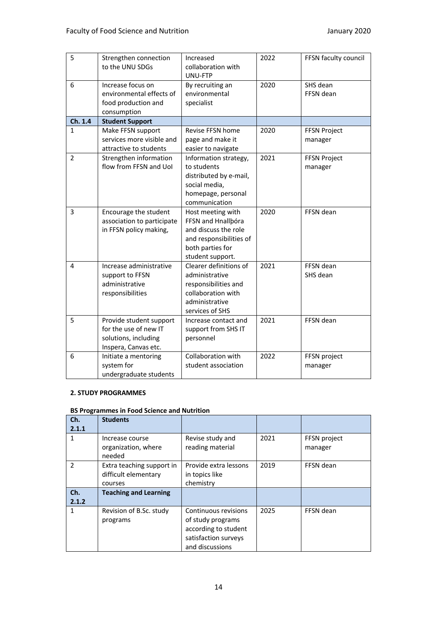| 5              | Strengthen connection<br>to the UNU SDGs                                                         | Increased<br>collaboration with<br>UNU-FTP                                                                                         | 2022 | FFSN faculty council           |
|----------------|--------------------------------------------------------------------------------------------------|------------------------------------------------------------------------------------------------------------------------------------|------|--------------------------------|
| 6              | Increase focus on<br>environmental effects of<br>food production and<br>consumption              | By recruiting an<br>environmental<br>specialist                                                                                    | 2020 | SHS dean<br>FFSN dean          |
| Ch. 1.4        | <b>Student Support</b>                                                                           |                                                                                                                                    |      |                                |
| 1              | Make FFSN support<br>services more visible and<br>attractive to students                         | Revise FFSN home<br>page and make it<br>easier to navigate                                                                         | 2020 | <b>FFSN Project</b><br>manager |
| $\overline{2}$ | Strengthen information<br>flow from FFSN and Uol                                                 | Information strategy,<br>to students<br>distributed by e-mail,<br>social media,<br>homepage, personal<br>communication             | 2021 | <b>FFSN Project</b><br>manager |
| 3              | Encourage the student<br>association to participate<br>in FFSN policy making,                    | Host meeting with<br>FFSN and Hnallbóra<br>and discuss the role<br>and responsibilities of<br>both parties for<br>student support. | 2020 | FFSN dean                      |
| 4              | Increase administrative<br>support to FFSN<br>administrative<br>responsibilities                 | Clearer definitions of<br>administrative<br>responsibilities and<br>collaboration with<br>administrative<br>services of SHS        | 2021 | FFSN dean<br>SHS dean          |
| 5              | Provide student support<br>for the use of new IT<br>solutions, including<br>Inspera, Canvas etc. | Increase contact and<br>support from SHS IT<br>personnel                                                                           | 2021 | FFSN dean                      |
| 6              | Initiate a mentoring<br>system for<br>undergraduate students                                     | Collaboration with<br>student association                                                                                          | 2022 | FFSN project<br>manager        |

#### **2. STUDY PROGRAMMES**

#### **BS Programmes in Food Science and Nutrition**

| Ch.<br>2.1.1  | <b>Students</b>                                              |                                                                                                              |      |                         |
|---------------|--------------------------------------------------------------|--------------------------------------------------------------------------------------------------------------|------|-------------------------|
|               | Increase course<br>organization, where<br>needed             | Revise study and<br>reading material                                                                         | 2021 | FFSN project<br>manager |
| $\mathfrak z$ | Extra teaching support in<br>difficult elementary<br>courses | Provide extra lessons<br>in topics like<br>chemistry                                                         | 2019 | FFSN dean               |
| Ch.<br>2.1.2  | <b>Teaching and Learning</b>                                 |                                                                                                              |      |                         |
| 1             | Revision of B.Sc. study<br>programs                          | Continuous revisions<br>of study programs<br>according to student<br>satisfaction surveys<br>and discussions | 2025 | FFSN dean               |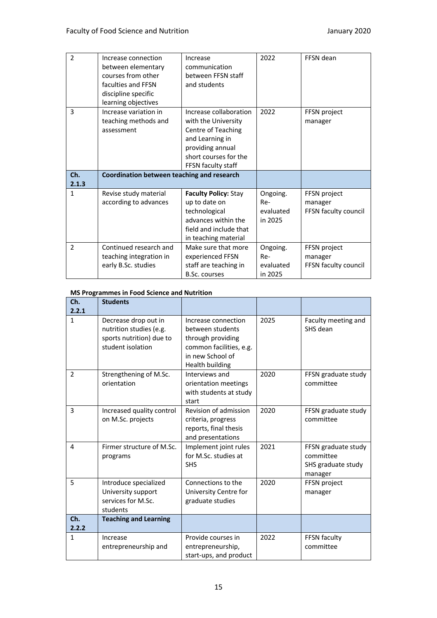| $\overline{2}$ | Increase connection<br>between elementary<br>courses from other<br>faculties and FFSN<br>discipline specific<br>learning objectives | Increase<br>communication<br>between FFSN staff<br>and students                                                                                           | 2022                                    | FFSN dean                                       |
|----------------|-------------------------------------------------------------------------------------------------------------------------------------|-----------------------------------------------------------------------------------------------------------------------------------------------------------|-----------------------------------------|-------------------------------------------------|
| 3              | Increase variation in<br>teaching methods and<br>assessment                                                                         | Increase collaboration<br>with the University<br>Centre of Teaching<br>and Learning in<br>providing annual<br>short courses for the<br>FFSN faculty staff | 2022                                    | FFSN project<br>manager                         |
| Ch.<br>2.1.3   | Coordination between teaching and research                                                                                          |                                                                                                                                                           |                                         |                                                 |
| $\mathbf{1}$   | Revise study material<br>according to advances                                                                                      | <b>Faculty Policy: Stay</b><br>up to date on<br>technological<br>advances within the<br>field and include that<br>in teaching material                    | Ongoing.<br>Re-<br>evaluated<br>in 2025 | FFSN project<br>manager<br>FFSN faculty council |
| 2              | Continued research and<br>teaching integration in<br>early B.Sc. studies                                                            | Make sure that more<br>experienced FFSN<br>staff are teaching in<br><b>B.Sc. courses</b>                                                                  | Ongoing.<br>Re-<br>evaluated<br>in 2025 | FFSN project<br>manager<br>FFSN faculty council |

#### **MS Programmes in Food Science and Nutrition**

| Ch.<br>2.2.1 | <b>Students</b>                                                                                  |                                                                                                                                |      |                                                                   |
|--------------|--------------------------------------------------------------------------------------------------|--------------------------------------------------------------------------------------------------------------------------------|------|-------------------------------------------------------------------|
| $\mathbf{1}$ | Decrease drop out in<br>nutrition studies (e.g.<br>sports nutrition) due to<br>student isolation | Increase connection<br>between students<br>through providing<br>common facilities, e.g.<br>in new School of<br>Health building | 2025 | Faculty meeting and<br>SHS dean                                   |
| 2            | Strengthening of M.Sc.<br>orientation                                                            | Interviews and<br>orientation meetings<br>with students at study<br>start                                                      | 2020 | FFSN graduate study<br>committee                                  |
| 3            | Increased quality control<br>on M.Sc. projects                                                   | Revision of admission<br>criteria, progress<br>reports, final thesis<br>and presentations                                      | 2020 | FFSN graduate study<br>committee                                  |
| 4            | Firmer structure of M.Sc.<br>programs                                                            | Implement joint rules<br>for M.Sc. studies at<br><b>SHS</b>                                                                    | 2021 | FFSN graduate study<br>committee<br>SHS graduate study<br>manager |
| 5            | Introduce specialized<br>University support<br>services for M.Sc.<br>students                    | Connections to the<br>University Centre for<br>graduate studies                                                                | 2020 | FFSN project<br>manager                                           |
| Ch.<br>2.2.2 | <b>Teaching and Learning</b>                                                                     |                                                                                                                                |      |                                                                   |
| $\mathbf{1}$ | Increase<br>entrepreneurship and                                                                 | Provide courses in<br>entrepreneurship,<br>start-ups, and product                                                              | 2022 | FFSN faculty<br>committee                                         |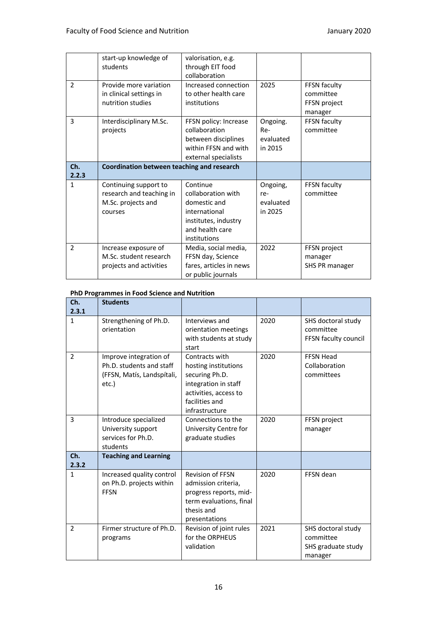|                | start-up knowledge of<br>students                                                  | valorisation, e.g.<br>through EIT food<br>collaboration                                                                    |                                         |                                                      |
|----------------|------------------------------------------------------------------------------------|----------------------------------------------------------------------------------------------------------------------------|-----------------------------------------|------------------------------------------------------|
| $\overline{2}$ | Provide more variation<br>in clinical settings in<br>nutrition studies             | Increased connection<br>to other health care<br>institutions                                                               | 2025                                    | FFSN faculty<br>committee<br>FFSN project<br>manager |
| 3              | Interdisciplinary M.Sc.<br>projects                                                | FFSN policy: Increase<br>collaboration<br>between disciplines<br>within FFSN and with<br>external specialists              | Ongoing.<br>Re-<br>evaluated<br>in 2015 | FFSN faculty<br>committee                            |
| Ch.<br>2.2.3   | Coordination between teaching and research                                         |                                                                                                                            |                                         |                                                      |
| $\mathbf{1}$   | Continuing support to<br>research and teaching in<br>M.Sc. projects and<br>courses | Continue<br>collaboration with<br>domestic and<br>international<br>institutes, industry<br>and health care<br>institutions | Ongoing,<br>re-<br>evaluated<br>in 2025 | FFSN faculty<br>committee                            |
| $\mathcal{P}$  | Increase exposure of<br>M.Sc. student research<br>projects and activities          | Media, social media,<br>FFSN day, Science<br>fares, articles in news<br>or public journals                                 | 2022                                    | FFSN project<br>manager<br>SHS PR manager            |

#### **PhD Programmes in Food Science and Nutrition**

| Ch.<br>2.3.1   | <b>Students</b>                                                                           |                                                                                                                                               |      |                                                                  |
|----------------|-------------------------------------------------------------------------------------------|-----------------------------------------------------------------------------------------------------------------------------------------------|------|------------------------------------------------------------------|
| $\mathbf{1}$   | Strengthening of Ph.D.<br>orientation                                                     | Interviews and<br>orientation meetings<br>with students at study<br>start                                                                     | 2020 | SHS doctoral study<br>committee<br>FFSN faculty council          |
| $\overline{2}$ | Improve integration of<br>Ph.D. students and staff<br>(FFSN, Matís, Landspítali,<br>etc.) | Contracts with<br>hosting institutions<br>securing Ph.D.<br>integration in staff<br>activities, access to<br>facilities and<br>infrastructure | 2020 | <b>FFSN Head</b><br>Collaboration<br>committees                  |
| 3              | Introduce specialized<br>University support<br>services for Ph.D.<br>students             | Connections to the<br>University Centre for<br>graduate studies                                                                               | 2020 | FFSN project<br>manager                                          |
| Ch.<br>2.3.2   | <b>Teaching and Learning</b>                                                              |                                                                                                                                               |      |                                                                  |
| $\mathbf{1}$   | Increased quality control<br>on Ph.D. projects within<br><b>FFSN</b>                      | <b>Revision of FFSN</b><br>admission criteria,<br>progress reports, mid-<br>term evaluations, final<br>thesis and<br>presentations            | 2020 | FFSN dean                                                        |
| $\mathcal{P}$  | Firmer structure of Ph.D.<br>programs                                                     | Revision of joint rules<br>for the ORPHEUS<br>validation                                                                                      | 2021 | SHS doctoral study<br>committee<br>SHS graduate study<br>manager |